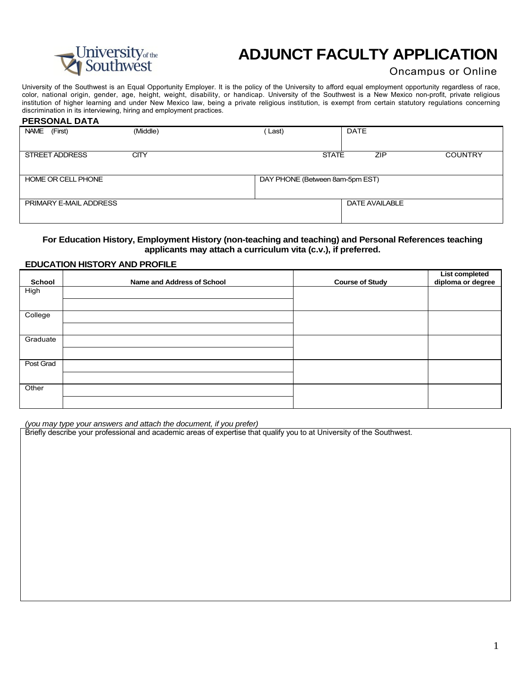

# **ADJUNCT FACULTY APPLICATION**

## Oncampus or Online

University of the Southwest is an Equal Opportunity Employer. It is the policy of the University to afford equal employment opportunity regardless of race, color, national origin, gender, age, height, weight, disability, or handicap. University of the Southwest is a New Mexico non-profit, private religious institution of higher learning and under New Mexico law, being a private religious institution, is exempt from certain statutory regulations concerning discrimination in its interviewing, hiring and employment practices.

#### **PERSONAL DATA**

| (First)<br><b>NAME</b> | (Middle)    | Last)                           | <b>DATE</b>                  |
|------------------------|-------------|---------------------------------|------------------------------|
|                        |             |                                 |                              |
| STREET ADDRESS         | <b>CITY</b> | <b>STATE</b>                    | <b>ZIP</b><br><b>COUNTRY</b> |
|                        |             |                                 |                              |
| HOME OR CELL PHONE     |             | DAY PHONE (Between 8am-5pm EST) |                              |
|                        |             |                                 |                              |
| PRIMARY E-MAIL ADDRESS |             |                                 | DATE AVAILABLE               |
|                        |             |                                 |                              |

#### **For Education History, Employment History (non-teaching and teaching) and Personal References teaching applicants may attach a curriculum vita (c.v.), if preferred.**

#### **EDUCATION HISTORY AND PROFILE**

| <b>School</b> | Name and Address of School | <b>Course of Study</b> | List completed<br>diploma or degree |
|---------------|----------------------------|------------------------|-------------------------------------|
| High          |                            |                        |                                     |
|               |                            |                        |                                     |
| College       |                            |                        |                                     |
|               |                            |                        |                                     |
| Graduate      |                            |                        |                                     |
|               |                            |                        |                                     |
| Post Grad     |                            |                        |                                     |
|               |                            |                        |                                     |
| Other         |                            |                        |                                     |
|               |                            |                        |                                     |

*(you may type your answers and attach the document, if you prefer)* 

Briefly describe your professional and academic areas of expertise that qualify you to at University of the Southwest.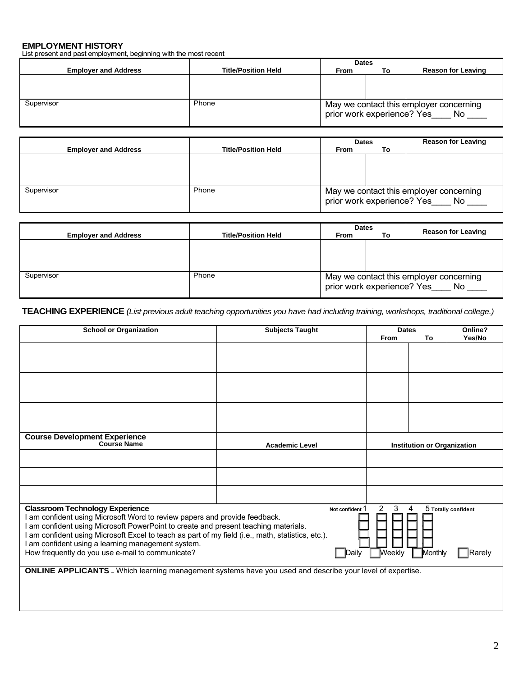## **EMPLOYMENT HISTORY**

List present and past employment, beginning with the most recent

|                             |                            | <b>Dates</b>               |    |                                                |
|-----------------------------|----------------------------|----------------------------|----|------------------------------------------------|
| <b>Employer and Address</b> | <b>Title/Position Held</b> | <b>From</b>                | Τo | <b>Reason for Leaving</b>                      |
|                             |                            |                            |    |                                                |
|                             |                            |                            |    |                                                |
|                             |                            |                            |    |                                                |
| Supervisor                  | Phone                      | prior work experience? Yes |    | May we contact this employer concerning<br>No. |

|                             |                            | <b>Dates</b>                                                                       |    | <b>Reason for Leaving</b> |
|-----------------------------|----------------------------|------------------------------------------------------------------------------------|----|---------------------------|
| <b>Employer and Address</b> | <b>Title/Position Held</b> | <b>From</b>                                                                        | То |                           |
|                             |                            |                                                                                    |    |                           |
|                             |                            |                                                                                    |    |                           |
|                             |                            |                                                                                    |    |                           |
|                             |                            |                                                                                    |    |                           |
| Supervisor                  | Phone                      | May we contact this employer concerning<br>prior work experience? Yes<br><b>No</b> |    |                           |
|                             |                            |                                                                                    |    |                           |

|                             |                            | <b>Dates</b>                                                                |    |                           |  |
|-----------------------------|----------------------------|-----------------------------------------------------------------------------|----|---------------------------|--|
| <b>Employer and Address</b> | <b>Title/Position Held</b> | <b>From</b>                                                                 | То | <b>Reason for Leaving</b> |  |
|                             |                            |                                                                             |    |                           |  |
|                             |                            |                                                                             |    |                           |  |
|                             |                            |                                                                             |    |                           |  |
|                             |                            |                                                                             |    |                           |  |
| Supervisor                  | Phone                      | May we contact this employer concerning<br>prior work experience? Yes<br>No |    |                           |  |

**TEACHING EXPERIENCE** *(List previous adult teaching opportunities you have had including training, workshops, traditional college.)* 

| <b>School or Organization</b>                                                                                    | <b>Subjects Taught</b> | <b>Dates</b>        |                                    | Online?             |
|------------------------------------------------------------------------------------------------------------------|------------------------|---------------------|------------------------------------|---------------------|
|                                                                                                                  |                        | From                | To                                 | Yes/No              |
|                                                                                                                  |                        |                     |                                    |                     |
|                                                                                                                  |                        |                     |                                    |                     |
|                                                                                                                  |                        |                     |                                    |                     |
|                                                                                                                  |                        |                     |                                    |                     |
|                                                                                                                  |                        |                     |                                    |                     |
|                                                                                                                  |                        |                     |                                    |                     |
|                                                                                                                  |                        |                     |                                    |                     |
|                                                                                                                  |                        |                     |                                    |                     |
|                                                                                                                  |                        |                     |                                    |                     |
| Course Development Experience<br>Course Name                                                                     |                        |                     |                                    |                     |
|                                                                                                                  | <b>Academic Level</b>  |                     | <b>Institution or Organization</b> |                     |
|                                                                                                                  |                        |                     |                                    |                     |
|                                                                                                                  |                        |                     |                                    |                     |
|                                                                                                                  |                        |                     |                                    |                     |
|                                                                                                                  |                        |                     |                                    |                     |
|                                                                                                                  |                        |                     |                                    |                     |
| <b>Classroom Technology Experience</b>                                                                           | Not confident 1        | 3<br>$\overline{2}$ | 4                                  | 5 Totally confident |
| am confident using Microsoft Word to review papers and provide feedback.                                         |                        |                     |                                    |                     |
| am confident using Microsoft PowerPoint to create and present teaching materials.                                |                        |                     |                                    |                     |
| I am confident using Microsoft Excel to teach as part of my field (i.e., math, statistics, etc.).                |                        |                     |                                    |                     |
| am confident using a learning management system.                                                                 |                        |                     |                                    |                     |
| How frequently do you use e-mail to communicate?                                                                 | <b>IDailv</b>          | <b>Weekly</b>       | Monthly                            | Rarely              |
| <b>ONLINE APPLICANTS</b> - Which learning management systems have you used and describe your level of expertise. |                        |                     |                                    |                     |
|                                                                                                                  |                        |                     |                                    |                     |
|                                                                                                                  |                        |                     |                                    |                     |
|                                                                                                                  |                        |                     |                                    |                     |
|                                                                                                                  |                        |                     |                                    |                     |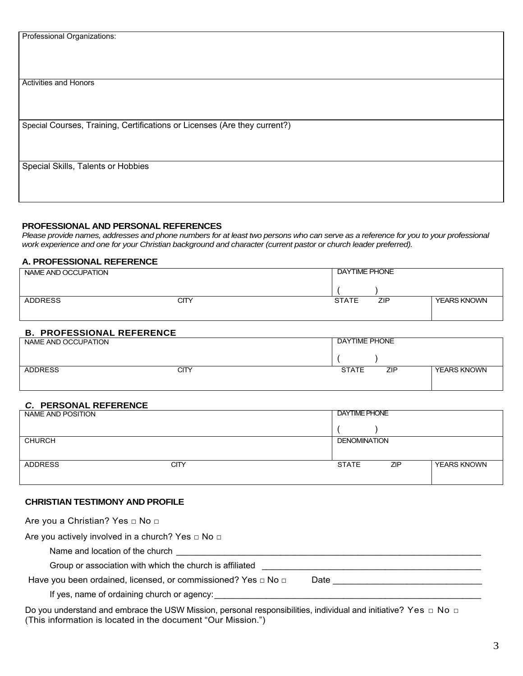| Professional Organizations:                                               |
|---------------------------------------------------------------------------|
|                                                                           |
|                                                                           |
|                                                                           |
|                                                                           |
|                                                                           |
|                                                                           |
|                                                                           |
| <b>Activities and Honors</b>                                              |
|                                                                           |
|                                                                           |
|                                                                           |
|                                                                           |
|                                                                           |
| Special Courses, Training, Certifications or Licenses (Are they current?) |
|                                                                           |
|                                                                           |
|                                                                           |
|                                                                           |
|                                                                           |
|                                                                           |
| Special Skills, Talents or Hobbies                                        |
|                                                                           |
|                                                                           |
|                                                                           |
|                                                                           |
|                                                                           |

#### **PROFESSIONAL AND PERSONAL REFERENCES**

*Please provide names, addresses and phone numbers for at least two persons who can serve as a reference for you to your professional work experience and one for your Christian background and character (current pastor or church leader preferred).* 

#### **A. PROFESSIONAL REFERENCE**

| NAME AND OCCUPATION |      | <b>DAYTIME PHONE</b> |            |                    |
|---------------------|------|----------------------|------------|--------------------|
|                     |      |                      |            |                    |
| <b>ADDRESS</b>      | CITY | <b>STATE</b>         | <b>ZIP</b> | <b>YEARS KNOWN</b> |
|                     |      |                      |            |                    |

## **B. PROFESSIONAL REFERENCE**

| NAME AND OCCUPATION |      | DAYTIME PHONE |     |                    |
|---------------------|------|---------------|-----|--------------------|
|                     |      |               |     |                    |
| <b>ADDRESS</b>      | CITY | <b>STATE</b>  | ZIP | <b>YEARS KNOWN</b> |

### *C.* **PERSONAL REFERENCE**

| NAME AND POSITION |      | <b>DAYTIME PHONE</b> |            |                    |
|-------------------|------|----------------------|------------|--------------------|
|                   |      |                      |            |                    |
| <b>CHURCH</b>     |      | <b>DENOMINATION</b>  |            |                    |
|                   |      |                      |            |                    |
| <b>ADDRESS</b>    | CITY | <b>STATE</b>         | <b>ZIP</b> | <b>YEARS KNOWN</b> |
|                   |      |                      |            |                    |

## **CHRISTIAN TESTIMONY AND PROFILE**

| Are you a Christian? Yes □ No □                                                                                                                                                                                                                                                                           |
|-----------------------------------------------------------------------------------------------------------------------------------------------------------------------------------------------------------------------------------------------------------------------------------------------------------|
| Are you actively involved in a church? Yes $\Box$ No $\Box$                                                                                                                                                                                                                                               |
| Name and location of the church Name and Location of the church                                                                                                                                                                                                                                           |
| Group or association with which the church is affiliated                                                                                                                                                                                                                                                  |
| Have you been ordained, licensed, or commissioned? Yes $\Box$ No $\Box$<br>Date and the contract of the contract of the contract of the contract of the contract of the contract of the contract of the contract of the contract of the contract of the contract of the contract of the contract of the c |
| If yes, name of ordaining church or agency:                                                                                                                                                                                                                                                               |
| Do you understand and embrace the USW Mission, personal responsibilities individual and initiative? Yes $\Box$ No $\Box$                                                                                                                                                                                  |

Do you understand and embrace the USW Mission, personal responsibilities, individual and initiative? Yes □ No □ (This information is located in the document "Our Mission.")